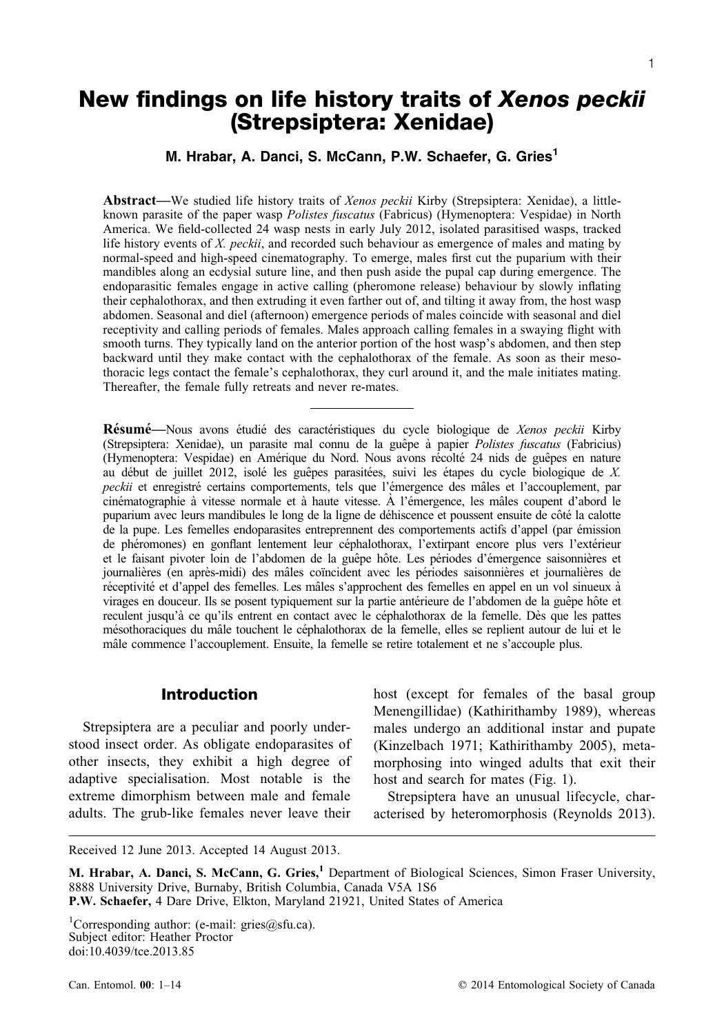# New findings on life history traits of Xenos peckii (Strepsiptera: Xenidae)

## M. Hrabar, A. Danci, S. McCann, P.W. Schaefer, G. Gries<sup>1</sup>

**Abstract—**We studied life history traits of *Xenos peckii* Kirby (Strepsiptera: Xenidae), a littleknown parasite of the paper wasp *Polistes fuscatus* (Fabricus) (Hymenoptera: Vespidae) in North America. We field-collected 24 wasp nests in early July 2012, isolated parasitised wasps, tracked life history events of *X. peckii*, and recorded such behaviour as emergence of males and mating by normal-speed and high-speed cinematography. To emerge, males first cut the puparium with their mandibles along an ecdysial suture line, and then push aside the pupal cap during emergence. The endoparasitic females engage in active calling (pheromone release) behaviour by slowly inflating their cephalothorax, and then extruding it even farther out of, and tilting it away from, the host wasp abdomen. Seasonal and diel (afternoon) emergence periods of males coincide with seasonal and diel receptivity and calling periods of females. Males approach calling females in a swaying flight with smooth turns. They typically land on the anterior portion of the host wasp's abdomen, and then step backward until they make contact with the cephalothorax of the female. As soon as their mesothoracic legs contact the female's cephalothorax, they curl around it, and the male initiates mating. Thereafter, the female fully retreats and never re-mates.

**Résumé**—Nous avons étudié des caractéristiques du cycle biologique de *Xenos peckii* Kirby (Strepsiptera: Xenidae), un parasite mal connu de la gueˆpe a` papier *Polistes fuscatus* (Fabricius) (Hymenoptera: Vespidae) en Amérique du Nord. Nous avons récolté 24 nids de guêpes en nature au début de juillet 2012, isolé les guêpes parasitées, suivi les étapes du cycle biologique de *X*. *peckii* et enregistré certains comportements, tels que l'émergence des mâles et l'accouplement, par cinématographie à vitesse normale et à haute vitesse. À l'émergence, les mâles coupent d'abord le puparium avec leurs mandibules le long de la ligne de déhiscence et poussent ensuite de côté la calotte de la pupe. Les femelles endoparasites entreprennent des comportements actifs d'appel (par émission de phéromones) en gonflant lentement leur céphalothorax, l'extirpant encore plus vers l'extérieur et le faisant pivoter loin de l'abdomen de la guêpe hôte. Les périodes d'émergence saisonnières et journalières (en après-midi) des mâles coïncident avec les périodes saisonnières et journalières de réceptivité et d'appel des femelles. Les mâles s'approchent des femelles en appel en un vol sinueux à virages en douceur. Ils se posent typiquement sur la partie antérieure de l'abdomen de la guêpe hôte et reculent jusqu'à ce qu'ils entrent en contact avec le céphalothorax de la femelle. Dès que les pattes mésothoraciques du mâle touchent le céphalothorax de la femelle, elles se replient autour de lui et le mâle commence l'accouplement. Ensuite, la femelle se retire totalement et ne s'accouple plus.

# Introduction

Strepsiptera are a peculiar and poorly understood insect order. As obligate endoparasites of other insects, they exhibit a high degree of adaptive specialisation. Most notable is the extreme dimorphism between male and female adults. The grub-like females never leave their

host (except for females of the basal group Menengillidae) (Kathirithamby [1989\)](#page-12-0), whereas males undergo an additional instar and pupate (Kinzelbach [1971](#page-12-0); Kathirithamby [2005](#page-12-0)), metamorphosing into winged adults that exit their host and search for mates ([Fig. 1\)](#page-1-0).

Strepsiptera have an unusual lifecycle, characterised by heteromorphosis (Reynolds [2013](#page-12-0)).

Received 12 June 2013. Accepted 14 August 2013.

**M. Hrabar, A. Danci, S. McCann, G. Gries,**<sup>1</sup> Department of Biological Sciences, Simon Fraser University, 8888 University Drive, Burnaby, British Columbia, Canada V5A 1S6 **P.W. Schaefer,** 4 Dare Drive, Elkton, Maryland 21921, United States of America

<sup>1</sup>Corresponding author: (e-mail: gries@sfu.ca). Subject editor: Heather Proctor doi:10.4039/tce.2013.85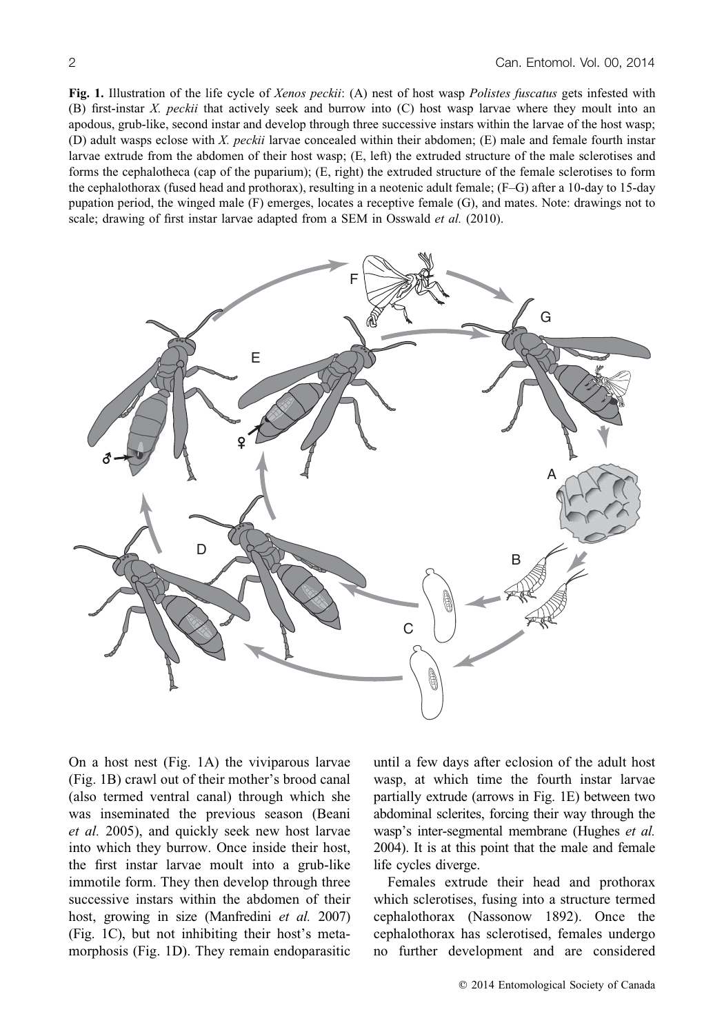<span id="page-1-0"></span>**Fig. 1.** Illustration of the life cycle of *Xenos peckii*: (A) nest of host wasp *Polistes fuscatus* gets infested with (B) first-instar *X. peckii* that actively seek and burrow into (C) host wasp larvae where they moult into an apodous, grub-like, second instar and develop through three successive instars within the larvae of the host wasp; (D) adult wasps eclose with *X. peckii* larvae concealed within their abdomen; (E) male and female fourth instar larvae extrude from the abdomen of their host wasp; (E, left) the extruded structure of the male sclerotises and forms the cephalotheca (cap of the puparium); (E, right) the extruded structure of the female sclerotises to form the cephalothorax (fused head and prothorax), resulting in a neotenic adult female; (F–G) after a 10-day to 15-day pupation period, the winged male (F) emerges, locates a receptive female (G), and mates. Note: drawings not to scale; drawing of first instar larvae adapted from a SEM in Osswald *et al.* ([2010](#page-12-0)).



On a host nest (Fig. 1A) the viviparous larvae (Fig. 1B) crawl out of their mother's brood canal (also termed ventral canal) through which she was inseminated the previous season (Beani *et al.* [2005\)](#page-11-0), and quickly seek new host larvae into which they burrow. Once inside their host, the first instar larvae moult into a grub-like immotile form. They then develop through three successive instars within the abdomen of their host, growing in size (Manfredini *et al.* [2007\)](#page-12-0) (Fig. 1C), but not inhibiting their host's metamorphosis (Fig. 1D). They remain endoparasitic until a few days after eclosion of the adult host wasp, at which time the fourth instar larvae partially extrude (arrows in Fig. 1E) between two abdominal sclerites, forcing their way through the wasp's inter-segmental membrane (Hughes *et al.* [2004](#page-12-0)). It is at this point that the male and female life cycles diverge.

Females extrude their head and prothorax which sclerotises, fusing into a structure termed cephalothorax (Nassonow [1892](#page-12-0)). Once the cephalothorax has sclerotised, females undergo no further development and are considered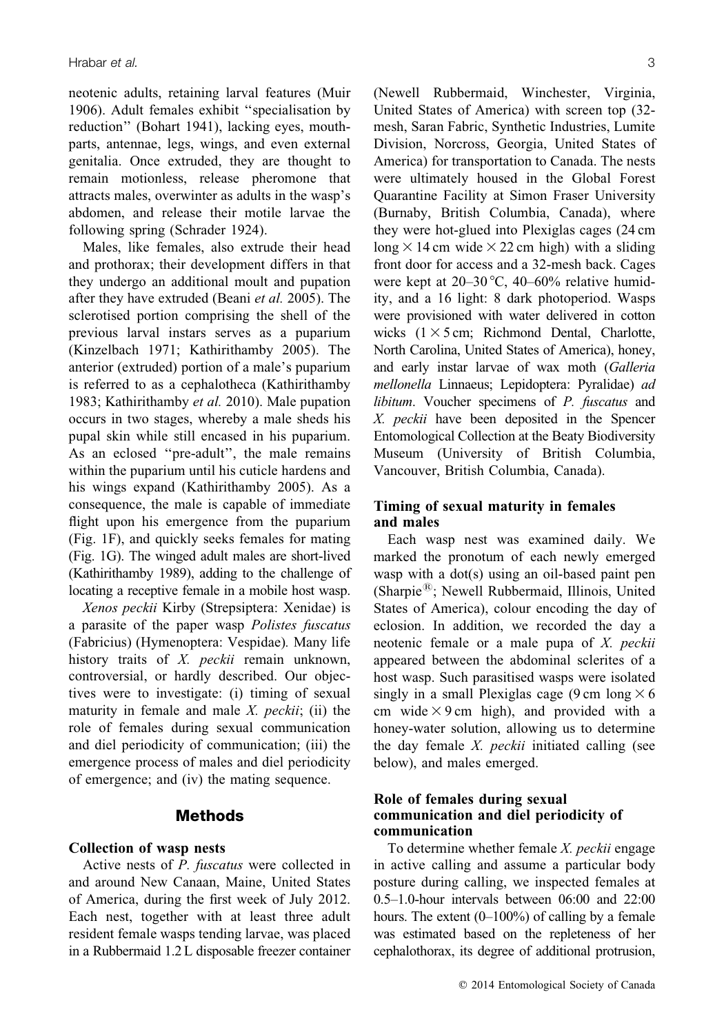neotenic adults, retaining larval features (Muir [1906\)](#page-12-0). Adult females exhibit ''specialisation by reduction'' (Bohart [1941](#page-11-0)), lacking eyes, mouthparts, antennae, legs, wings, and even external genitalia. Once extruded, they are thought to remain motionless, release pheromone that attracts males, overwinter as adults in the wasp's abdomen, and release their motile larvae the following spring (Schrader [1924](#page-13-0)).

Males, like females, also extrude their head and prothorax; their development differs in that they undergo an additional moult and pupation after they have extruded (Beani *et al.* [2005\)](#page-11-0). The sclerotised portion comprising the shell of the previous larval instars serves as a puparium (Kinzelbach [1971;](#page-12-0) Kathirithamby [2005\)](#page-12-0). The anterior (extruded) portion of a male's puparium is referred to as a cephalotheca (Kathirithamby [1983;](#page-12-0) Kathirithamby *et al.* [2010](#page-12-0)). Male pupation occurs in two stages, whereby a male sheds his pupal skin while still encased in his puparium. As an eclosed ''pre-adult'', the male remains within the puparium until his cuticle hardens and his wings expand (Kathirithamby [2005](#page-12-0)). As a consequence, the male is capable of immediate flight upon his emergence from the puparium [\(Fig. 1F\)](#page-1-0), and quickly seeks females for mating [\(Fig. 1G](#page-1-0)). The winged adult males are short-lived (Kathirithamby [1989\)](#page-12-0), adding to the challenge of locating a receptive female in a mobile host wasp.

*Xenos peckii* Kirby (Strepsiptera: Xenidae) is a parasite of the paper wasp *Polistes fuscatus* (Fabricius) (Hymenoptera: Vespidae)*.* Many life history traits of *X. peckii* remain unknown, controversial, or hardly described. Our objectives were to investigate: (i) timing of sexual maturity in female and male *X. peckii*; (ii) the role of females during sexual communication and diel periodicity of communication; (iii) the emergence process of males and diel periodicity of emergence; and (iv) the mating sequence.

#### Methods

#### **Collection of wasp nests**

Active nests of *P. fuscatus* were collected in and around New Canaan, Maine, United States of America, during the first week of July 2012. Each nest, together with at least three adult resident female wasps tending larvae, was placed in a Rubbermaid 1.2 L disposable freezer container

(Newell Rubbermaid, Winchester, Virginia, United States of America) with screen top (32 mesh, Saran Fabric, Synthetic Industries, Lumite Division, Norcross, Georgia, United States of America) for transportation to Canada. The nests were ultimately housed in the Global Forest Quarantine Facility at Simon Fraser University (Burnaby, British Columbia, Canada), where they were hot-glued into Plexiglas cages (24 cm long  $\times$  14 cm wide  $\times$  22 cm high) with a sliding front door for access and a 32-mesh back. Cages were kept at  $20-30$  °C, 40-60% relative humidity, and a 16 light: 8 dark photoperiod. Wasps were provisioned with water delivered in cotton wicks  $(1 \times 5$  cm; Richmond Dental, Charlotte, North Carolina, United States of America), honey, and early instar larvae of wax moth (*Galleria mellonella* Linnaeus; Lepidoptera: Pyralidae) *ad libitum*. Voucher specimens of *P. fuscatus* and *X. peckii* have been deposited in the Spencer Entomological Collection at the Beaty Biodiversity Museum (University of British Columbia, Vancouver, British Columbia, Canada).

#### **Timing of sexual maturity in females and males**

Each wasp nest was examined daily. We marked the pronotum of each newly emerged wasp with a dot(s) using an oil-based paint pen (Sharpie<sup>®</sup>; Newell Rubbermaid, Illinois, United States of America), colour encoding the day of eclosion. In addition, we recorded the day a neotenic female or a male pupa of *X. peckii* appeared between the abdominal sclerites of a host wasp. Such parasitised wasps were isolated singly in a small Plexiglas cage (9 cm long  $\times$  6 cm wide  $\times$  9 cm high), and provided with a honey-water solution, allowing us to determine the day female *X. peckii* initiated calling (see below), and males emerged.

## **Role of females during sexual communication and diel periodicity of communication**

To determine whether female *X. peckii* engage in active calling and assume a particular body posture during calling, we inspected females at 0.5–1.0-hour intervals between 06:00 and 22:00 hours. The extent  $(0-100\%)$  of calling by a female was estimated based on the repleteness of her cephalothorax, its degree of additional protrusion,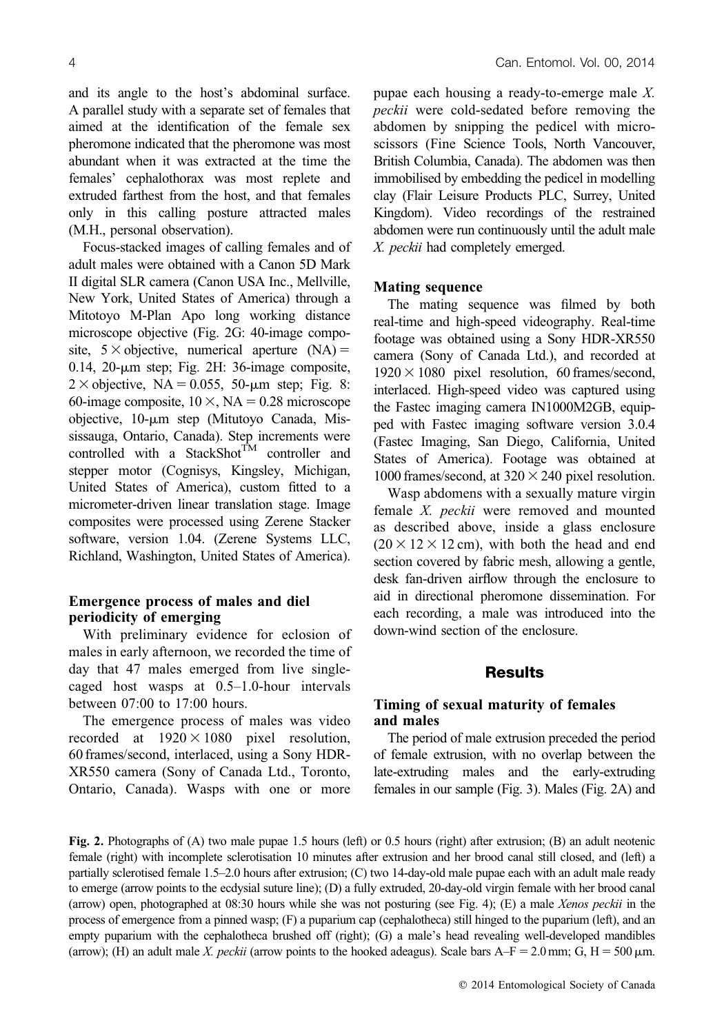<span id="page-3-0"></span>and its angle to the host's abdominal surface. A parallel study with a separate set of females that aimed at the identification of the female sex pheromone indicated that the pheromone was most abundant when it was extracted at the time the females' cephalothorax was most replete and extruded farthest from the host, and that females only in this calling posture attracted males (M.H., personal observation).

Focus-stacked images of calling females and of adult males were obtained with a Canon 5D Mark II digital SLR camera (Canon USA Inc., Mellville, New York, United States of America) through a Mitotoyo M-Plan Apo long working distance microscope objective (Fig. 2G: 40-image composite,  $5 \times$  objective, numerical aperture (NA) = 0.14,  $20$ - $\mu$ m step; Fig. 2H: 36-image composite,  $2 \times$  objective, NA = 0.055, 50-µm step; [Fig. 8](#page-10-0): 60-image composite,  $10 \times$ , NA = 0.28 microscope objective, 10-μm step (Mitutoyo Canada, Mississauga, Ontario, Canada). Step increments were controlled with a StackShot<sup>TM</sup> controller and stepper motor (Cognisys, Kingsley, Michigan, United States of America), custom fitted to a micrometer-driven linear translation stage. Image composites were processed using Zerene Stacker software, version 1.04. (Zerene Systems LLC, Richland, Washington, United States of America).

## **Emergence process of males and diel periodicity of emerging**

With preliminary evidence for eclosion of males in early afternoon, we recorded the time of day that 47 males emerged from live singlecaged host wasps at 0.5–1.0-hour intervals between 07:00 to 17:00 hours.

The emergence process of males was video recorded at  $1920 \times 1080$  pixel resolution, 60 frames/second, interlaced, using a Sony HDR-XR550 camera (Sony of Canada Ltd., Toronto, Ontario, Canada). Wasps with one or more

pupae each housing a ready-to-emerge male *X. peckii* were cold-sedated before removing the abdomen by snipping the pedicel with microscissors (Fine Science Tools, North Vancouver, British Columbia, Canada). The abdomen was then immobilised by embedding the pedicel in modelling clay (Flair Leisure Products PLC, Surrey, United Kingdom). Video recordings of the restrained abdomen were run continuously until the adult male *X. peckii* had completely emerged.

#### **Mating sequence**

The mating sequence was filmed by both real-time and high-speed videography. Real-time footage was obtained using a Sony HDR-XR550 camera (Sony of Canada Ltd.), and recorded at  $1920 \times 1080$  pixel resolution, 60 frames/second, interlaced. High-speed video was captured using the Fastec imaging camera IN1000M2GB, equipped with Fastec imaging software version 3.0.4 (Fastec Imaging, San Diego, California, United States of America). Footage was obtained at 1000 frames/second, at  $320 \times 240$  pixel resolution.

Wasp abdomens with a sexually mature virgin female *X. peckii* were removed and mounted as described above, inside a glass enclosure  $(20 \times 12 \times 12 \text{ cm})$ , with both the head and end section covered by fabric mesh, allowing a gentle, desk fan-driven airflow through the enclosure to aid in directional pheromone dissemination. For each recording, a male was introduced into the down-wind section of the enclosure.

#### **Results**

#### **Timing of sexual maturity of females and males**

The period of male extrusion preceded the period of female extrusion, with no overlap between the late-extruding males and the early-extruding females in our sample [\(Fig. 3](#page-5-0)). Males (Fig. 2A) and

**Fig. 2.** Photographs of (A) two male pupae 1.5 hours (left) or 0.5 hours (right) after extrusion; (B) an adult neotenic female (right) with incomplete sclerotisation 10 minutes after extrusion and her brood canal still closed, and (left) a partially sclerotised female 1.5–2.0 hours after extrusion; (C) two 14-day-old male pupae each with an adult male ready to emerge (arrow points to the ecdysial suture line); (D) a fully extruded, 20-day-old virgin female with her brood canal (arrow) open, photographed at 08:30 hours while she was not posturing (see [Fig. 4](#page-6-0)); (E) a male *Xenos peckii* in the process of emergence from a pinned wasp; (F) a puparium cap (cephalotheca) still hinged to the puparium (left), and an empty puparium with the cephalotheca brushed off (right); (G) a male's head revealing well-developed mandibles (arrow); (H) an adult male *X. peckii* (arrow points to the hooked adeagus). Scale bars  $A-F = 2.0$  mm; G,  $H = 500 \mu m$ .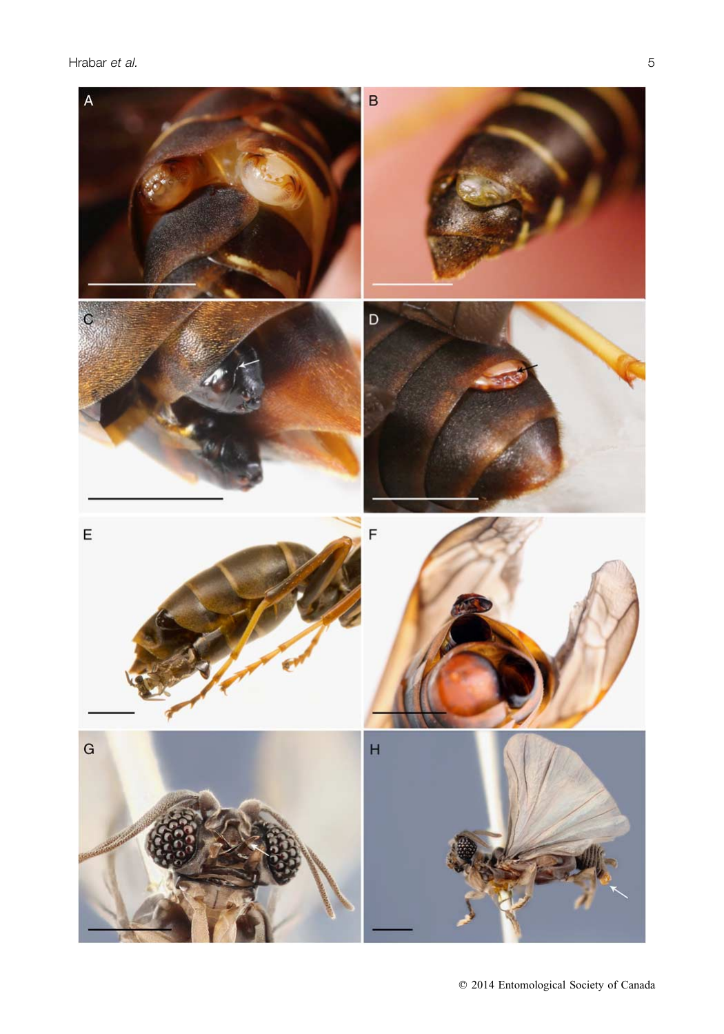$\overline{A}$ 

C

 $\mathsf E$ 

 $\mathsf{G}$ 

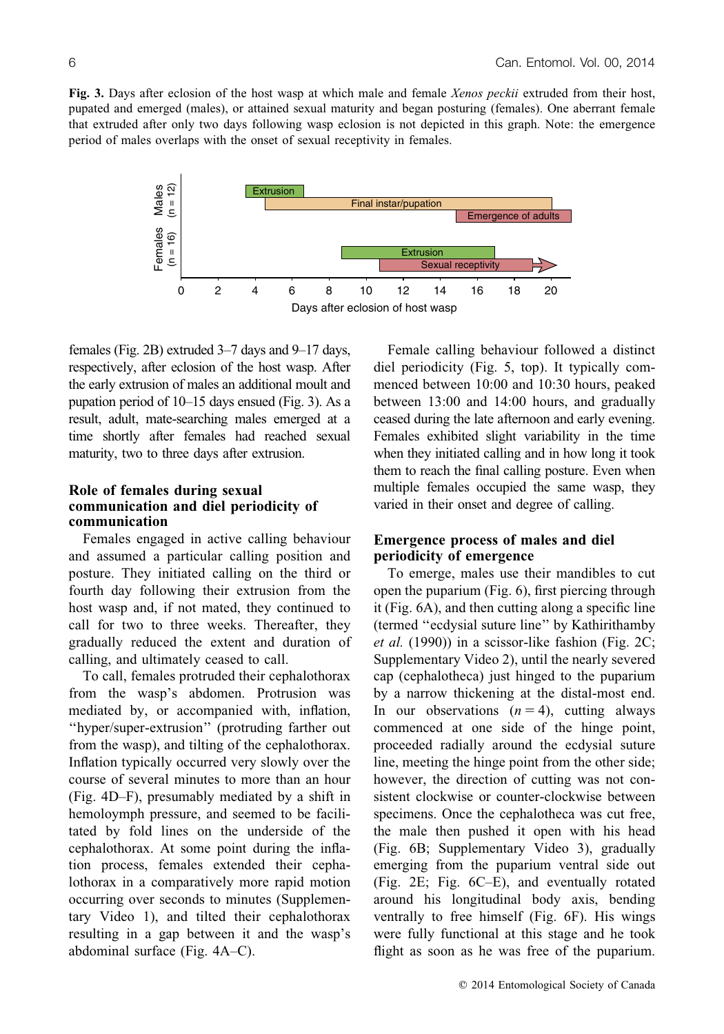<span id="page-5-0"></span>**Fig. 3.** Days after eclosion of the host wasp at which male and female *Xenos peckii* extruded from their host, pupated and emerged (males), or attained sexual maturity and began posturing (females). One aberrant female that extruded after only two days following wasp eclosion is not depicted in this graph. Note: the emergence period of males overlaps with the onset of sexual receptivity in females.



females [\(Fig. 2B\)](#page-3-0) extruded 3–7 days and 9–17 days, respectively, after eclosion of the host wasp. After the early extrusion of males an additional moult and pupation period of 10–15 days ensued (Fig. 3). As a result, adult, mate-searching males emerged at a time shortly after females had reached sexual maturity, two to three days after extrusion.

#### **Role of females during sexual communication and diel periodicity of communication**

Females engaged in active calling behaviour and assumed a particular calling position and posture. They initiated calling on the third or fourth day following their extrusion from the host wasp and, if not mated, they continued to call for two to three weeks. Thereafter, they gradually reduced the extent and duration of calling, and ultimately ceased to call.

To call, females protruded their cephalothorax from the wasp's abdomen. Protrusion was mediated by, or accompanied with, inflation, ''hyper/super-extrusion'' (protruding farther out from the wasp), and tilting of the cephalothorax. Inflation typically occurred very slowly over the course of several minutes to more than an hour [\(Fig. 4D–](#page-6-0)F), presumably mediated by a shift in hemoloymph pressure, and seemed to be facilitated by fold lines on the underside of the cephalothorax. At some point during the inflation process, females extended their cephalothorax in a comparatively more rapid motion occurring over seconds to minutes (Supplementary Video 1), and tilted their cephalothorax resulting in a gap between it and the wasp's abdominal surface [\(Fig. 4A–C\)](#page-6-0).

Female calling behaviour followed a distinct diel periodicity ([Fig. 5,](#page-7-0) top). It typically commenced between 10:00 and 10:30 hours, peaked between 13:00 and 14:00 hours, and gradually ceased during the late afternoon and early evening. Females exhibited slight variability in the time when they initiated calling and in how long it took them to reach the final calling posture. Even when multiple females occupied the same wasp, they varied in their onset and degree of calling.

#### **Emergence process of males and diel periodicity of emergence**

To emerge, males use their mandibles to cut open the puparium ([Fig. 6\)](#page-8-0), first piercing through it [\(Fig. 6A\)](#page-8-0), and then cutting along a specific line (termed ''ecdysial suture line'' by Kathirithamby *et al.* ([1990\)](#page-12-0)) in a scissor-like fashion ([Fig. 2C](#page-3-0); Supplementary Video 2), until the nearly severed cap (cephalotheca) just hinged to the puparium by a narrow thickening at the distal-most end. In our observations  $(n=4)$ , cutting always commenced at one side of the hinge point, proceeded radially around the ecdysial suture line, meeting the hinge point from the other side; however, the direction of cutting was not consistent clockwise or counter-clockwise between specimens. Once the cephalotheca was cut free, the male then pushed it open with his head [\(Fig. 6B;](#page-8-0) Supplementary Video 3), gradually emerging from the puparium ventral side out [\(Fig. 2E](#page-3-0); [Fig. 6C–](#page-8-0)E), and eventually rotated around his longitudinal body axis, bending ventrally to free himself ([Fig. 6F](#page-8-0)). His wings were fully functional at this stage and he took flight as soon as he was free of the puparium.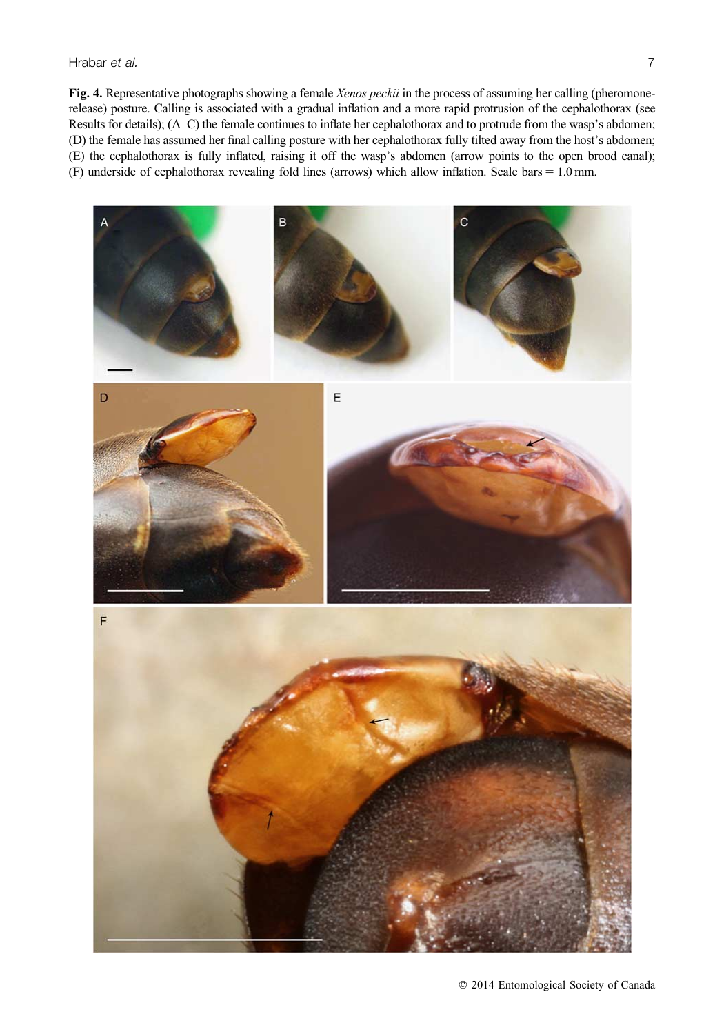<span id="page-6-0"></span>**Fig. 4.** Representative photographs showing a female *Xenos peckii* in the process of assuming her calling (pheromonerelease) posture. Calling is associated with a gradual inflation and a more rapid protrusion of the cephalothorax (see Results for details); (A–C) the female continues to inflate her cephalothorax and to protrude from the wasp's abdomen; (D) the female has assumed her final calling posture with her cephalothorax fully tilted away from the host's abdomen; (E) the cephalothorax is fully inflated, raising it off the wasp's abdomen (arrow points to the open brood canal); (F) underside of cephalothorax revealing fold lines (arrows) which allow inflation. Scale bars  $= 1.0$  mm.

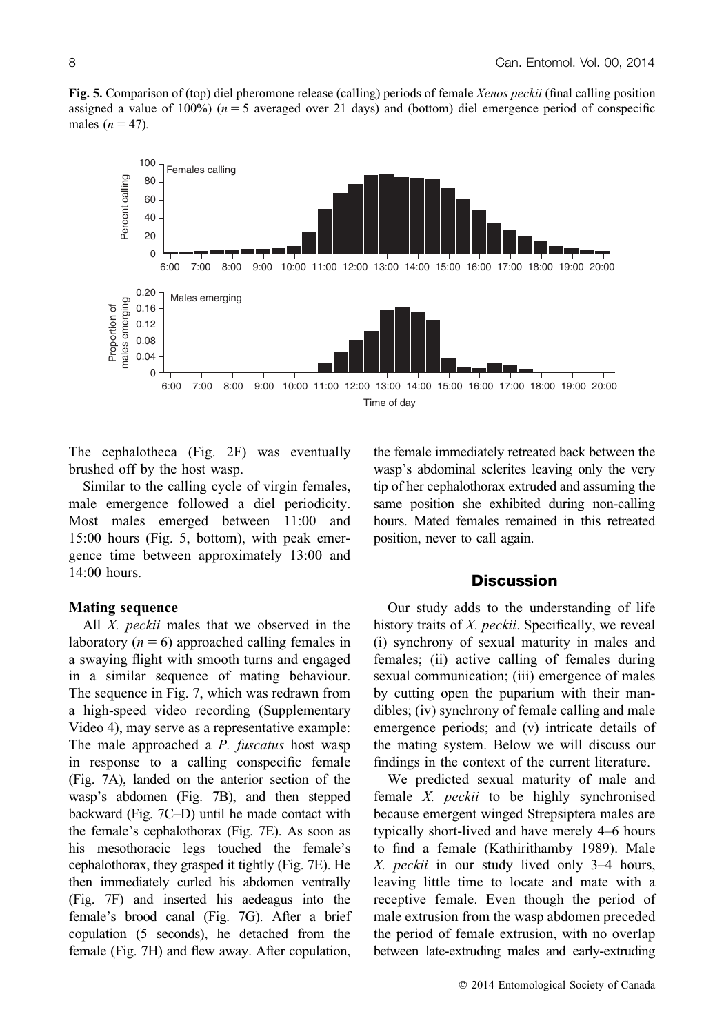<span id="page-7-0"></span>**Fig. 5.** Comparison of (top) diel pheromone release (calling) periods of female *Xenos peckii* (final calling position assigned a value of  $100\%$ ) ( $n = 5$  averaged over 21 days) and (bottom) diel emergence period of conspecific males ( $n = 47$ ).



The cephalotheca [\(Fig. 2F](#page-3-0)) was eventually brushed off by the host wasp.

Similar to the calling cycle of virgin females, male emergence followed a diel periodicity. Most males emerged between 11:00 and 15:00 hours (Fig. 5, bottom), with peak emergence time between approximately 13:00 and 14:00 hours.

#### **Mating sequence**

All *X. peckii* males that we observed in the laboratory  $(n = 6)$  approached calling females in a swaying flight with smooth turns and engaged in a similar sequence of mating behaviour. The sequence in [Fig. 7](#page-9-0), which was redrawn from a high-speed video recording (Supplementary Video 4), may serve as a representative example: The male approached a *P. fuscatus* host wasp in response to a calling conspecific female [\(Fig. 7A](#page-9-0)), landed on the anterior section of the wasp's abdomen [\(Fig. 7B\)](#page-9-0), and then stepped backward [\(Fig. 7C–D\)](#page-9-0) until he made contact with the female's cephalothorax [\(Fig. 7E\)](#page-9-0). As soon as his mesothoracic legs touched the female's cephalothorax, they grasped it tightly [\(Fig. 7E\)](#page-9-0). He then immediately curled his abdomen ventrally [\(Fig. 7F\)](#page-9-0) and inserted his aedeagus into the female's brood canal [\(Fig. 7G\)](#page-9-0). After a brief copulation (5 seconds), he detached from the female [\(Fig. 7H](#page-9-0)) and flew away. After copulation, the female immediately retreated back between the wasp's abdominal sclerites leaving only the very tip of her cephalothorax extruded and assuming the same position she exhibited during non-calling hours. Mated females remained in this retreated position, never to call again.

#### **Discussion**

Our study adds to the understanding of life history traits of *X. peckii*. Specifically, we reveal (i) synchrony of sexual maturity in males and females; (ii) active calling of females during sexual communication; (iii) emergence of males by cutting open the puparium with their mandibles; (iv) synchrony of female calling and male emergence periods; and (v) intricate details of the mating system. Below we will discuss our findings in the context of the current literature.

We predicted sexual maturity of male and female *X. peckii* to be highly synchronised because emergent winged Strepsiptera males are typically short-lived and have merely 4–6 hours to find a female (Kathirithamby [1989](#page-12-0)). Male *X. peckii* in our study lived only 3–4 hours, leaving little time to locate and mate with a receptive female. Even though the period of male extrusion from the wasp abdomen preceded the period of female extrusion, with no overlap between late-extruding males and early-extruding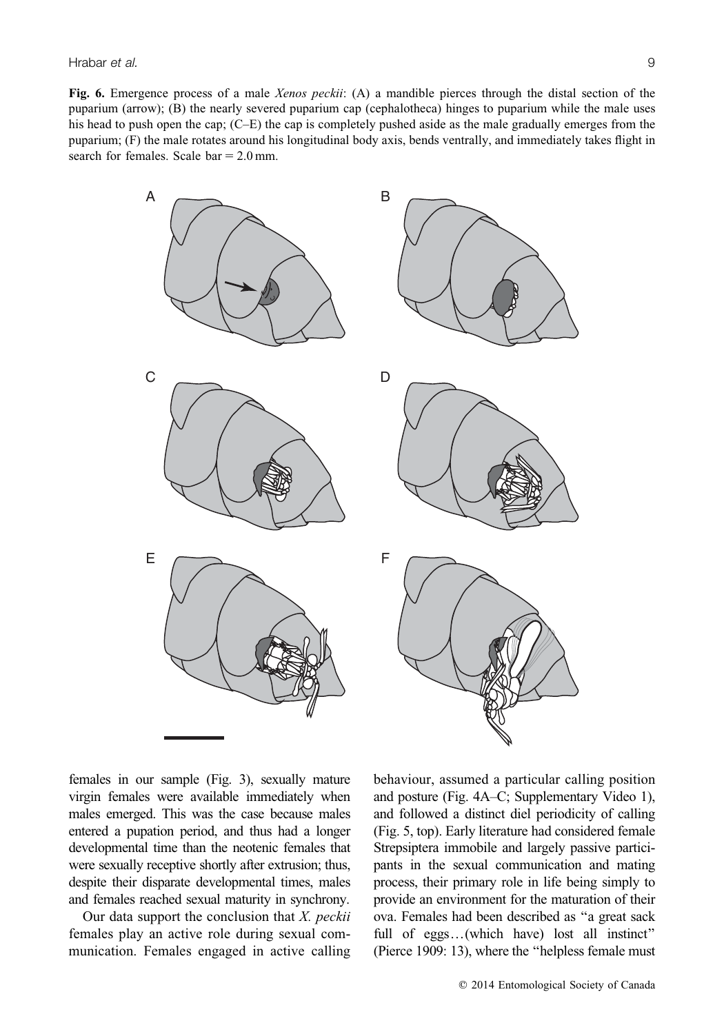<span id="page-8-0"></span>**Fig. 6.** Emergence process of a male *Xenos peckii*: (A) a mandible pierces through the distal section of the puparium (arrow); (B) the nearly severed puparium cap (cephalotheca) hinges to puparium while the male uses his head to push open the cap; (C–E) the cap is completely pushed aside as the male gradually emerges from the puparium; (F) the male rotates around his longitudinal body axis, bends ventrally, and immediately takes flight in search for females. Scale  $bar = 2.0$  mm.



females in our sample [\(Fig. 3](#page-5-0)), sexually mature virgin females were available immediately when males emerged. This was the case because males entered a pupation period, and thus had a longer developmental time than the neotenic females that were sexually receptive shortly after extrusion; thus, despite their disparate developmental times, males and females reached sexual maturity in synchrony.

Our data support the conclusion that *X. peckii* females play an active role during sexual communication. Females engaged in active calling

behaviour, assumed a particular calling position and posture [\(Fig. 4A–C](#page-6-0); Supplementary Video 1), and followed a distinct diel periodicity of calling [\(Fig. 5](#page-7-0), top). Early literature had considered female Strepsiptera immobile and largely passive participants in the sexual communication and mating process, their primary role in life being simply to provide an environment for the maturation of their ova. Females had been described as ''a great sack full of eggs...(which have) lost all instinct" (Pierce [1909:](#page-12-0) 13), where the ''helpless female must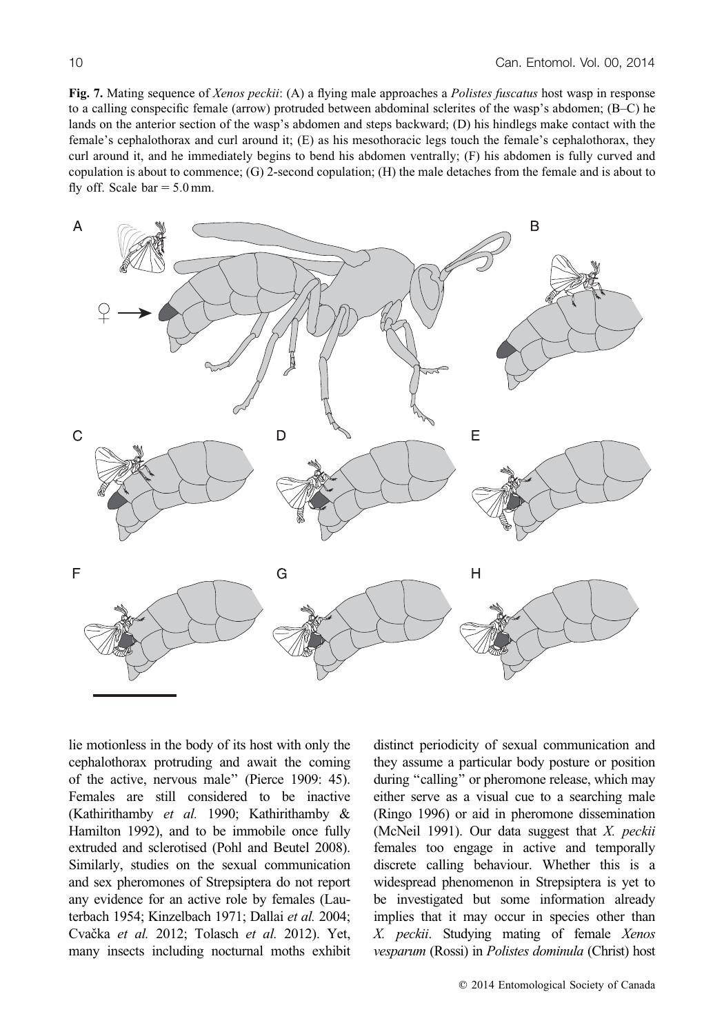<span id="page-9-0"></span>**Fig. 7.** Mating sequence of *Xenos peckii*: (A) a flying male approaches a *Polistes fuscatus* host wasp in response to a calling conspecific female (arrow) protruded between abdominal sclerites of the wasp's abdomen; (B–C) he lands on the anterior section of the wasp's abdomen and steps backward; (D) his hindlegs make contact with the female's cephalothorax and curl around it; (E) as his mesothoracic legs touch the female's cephalothorax, they curl around it, and he immediately begins to bend his abdomen ventrally; (F) his abdomen is fully curved and copulation is about to commence; (G) 2-second copulation; (H) the male detaches from the female and is about to fly off. Scale bar  $= 5.0$  mm.



lie motionless in the body of its host with only the cephalothorax protruding and await the coming of the active, nervous male'' (Pierce [1909](#page-12-0): 45). Females are still considered to be inactive (Kathirithamby *et al.* [1990;](#page-12-0) Kathirithamby & Hamilton [1992\)](#page-12-0), and to be immobile once fully extruded and sclerotised (Pohl and Beutel [2008](#page-12-0)). Similarly, studies on the sexual communication and sex pheromones of Strepsiptera do not report any evidence for an active role by females (Lauterbach [1954;](#page-12-0) Kinzelbach [1971;](#page-12-0) Dallai *et al.* [2004](#page-12-0); Cvačka et al. [2012;](#page-11-0) Tolasch et al. [2012](#page-13-0)). Yet, many insects including nocturnal moths exhibit

distinct periodicity of sexual communication and they assume a particular body posture or position during "calling" or pheromone release, which may either serve as a visual cue to a searching male (Ringo [1996\)](#page-13-0) or aid in pheromone dissemination (McNeil [1991\)](#page-12-0). Our data suggest that *X. peckii* females too engage in active and temporally discrete calling behaviour. Whether this is a widespread phenomenon in Strepsiptera is yet to be investigated but some information already implies that it may occur in species other than *X. peckii*. Studying mating of female *Xenos vesparum* (Rossi) in *Polistes dominula* (Christ) host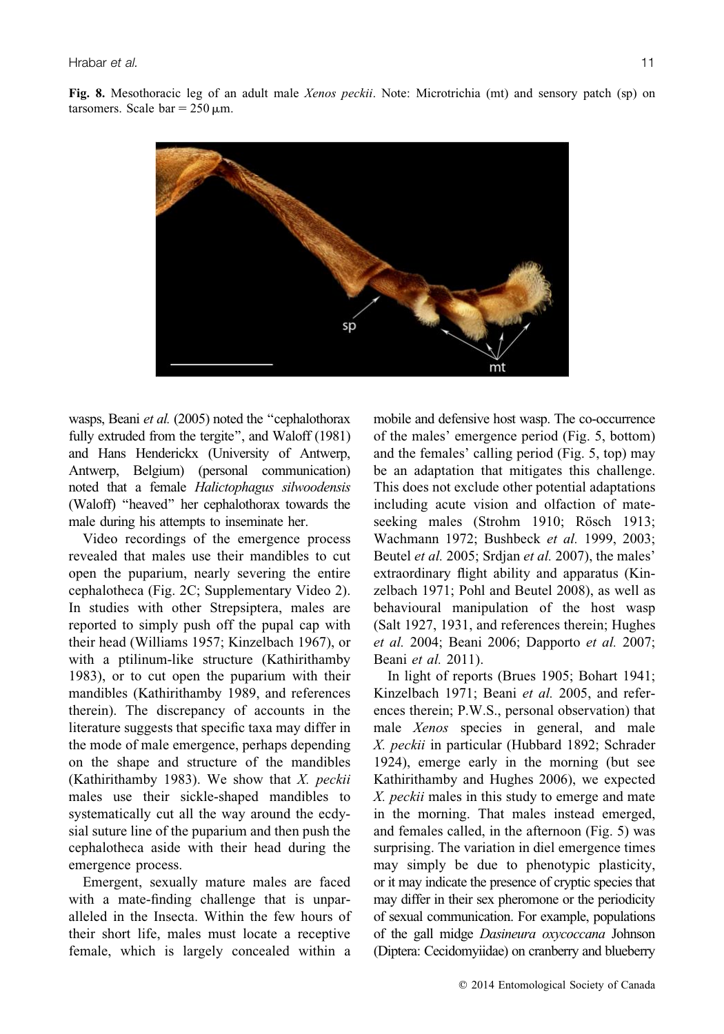<span id="page-10-0"></span>**Fig. 8.** Mesothoracic leg of an adult male *Xenos peckii*. Note: Microtrichia (mt) and sensory patch (sp) on tarsomers. Scale bar =  $250 \mu m$ .



wasps, Beani *et al.* [\(2005\)](#page-11-0) noted the ''cephalothorax fully extruded from the tergite'', and Waloff [\(1981\)](#page-13-0) and Hans Henderickx (University of Antwerp, Antwerp, Belgium) (personal communication) noted that a female *Halictophagus silwoodensis* (Waloff) ''heaved'' her cephalothorax towards the male during his attempts to inseminate her.

Video recordings of the emergence process revealed that males use their mandibles to cut open the puparium, nearly severing the entire cephalotheca [\(Fig. 2C;](#page-3-0) Supplementary Video 2). In studies with other Strepsiptera, males are reported to simply push off the pupal cap with their head (Williams [1957](#page-13-0); Kinzelbach [1967](#page-12-0)), or with a ptilinum-like structure (Kathirithamby [1983\)](#page-12-0), or to cut open the puparium with their mandibles (Kathirithamby [1989](#page-12-0), and references therein). The discrepancy of accounts in the literature suggests that specific taxa may differ in the mode of male emergence, perhaps depending on the shape and structure of the mandibles (Kathirithamby [1983\)](#page-12-0). We show that *X. peckii* males use their sickle-shaped mandibles to systematically cut all the way around the ecdysial suture line of the puparium and then push the cephalotheca aside with their head during the emergence process.

Emergent, sexually mature males are faced with a mate-finding challenge that is unparalleled in the Insecta. Within the few hours of their short life, males must locate a receptive female, which is largely concealed within a mobile and defensive host wasp. The co-occurrence of the males' emergence period [\(Fig. 5](#page-7-0), bottom) and the females' calling period [\(Fig. 5,](#page-7-0) top) may be an adaptation that mitigates this challenge. This does not exclude other potential adaptations including acute vision and olfaction of mate-seeking males (Strohm [1910](#page-13-0); Rösch [1913](#page-13-0); Wachmann [1972;](#page-13-0) Bushbeck *et al.* [1999, 2003](#page-11-0); Beutel *et al.* [2005;](#page-11-0) Srdjan *et al.* [2007\)](#page-13-0), the males' extraordinary flight ability and apparatus (Kinzelbach [1971;](#page-12-0) Pohl and Beutel [2008\)](#page-12-0), as well as behavioural manipulation of the host wasp (Salt [1927, 1931,](#page-13-0) and references therein; Hughes *et al.* [2004](#page-12-0); Beani [2006;](#page-11-0) Dapporto *et al.* [2007](#page-12-0); Beani *et al.* [2011\)](#page-11-0).

In light of reports (Brues [1905;](#page-11-0) Bohart [1941](#page-11-0); Kinzelbach [1971;](#page-12-0) Beani *et al.* [2005](#page-11-0), and references therein; P.W.S., personal observation) that male *Xenos* species in general, and male *X. peckii* in particular (Hubbard [1892](#page-12-0); Schrader [1924\)](#page-13-0), emerge early in the morning (but see Kathirithamby and Hughes [2006](#page-12-0)), we expected *X. peckii* males in this study to emerge and mate in the morning. That males instead emerged, and females called, in the afternoon ([Fig. 5\)](#page-7-0) was surprising. The variation in diel emergence times may simply be due to phenotypic plasticity, or it may indicate the presence of cryptic species that may differ in their sex pheromone or the periodicity of sexual communication. For example, populations of the gall midge *Dasineura oxycoccana* Johnson (Diptera: Cecidomyiidae) on cranberry and blueberry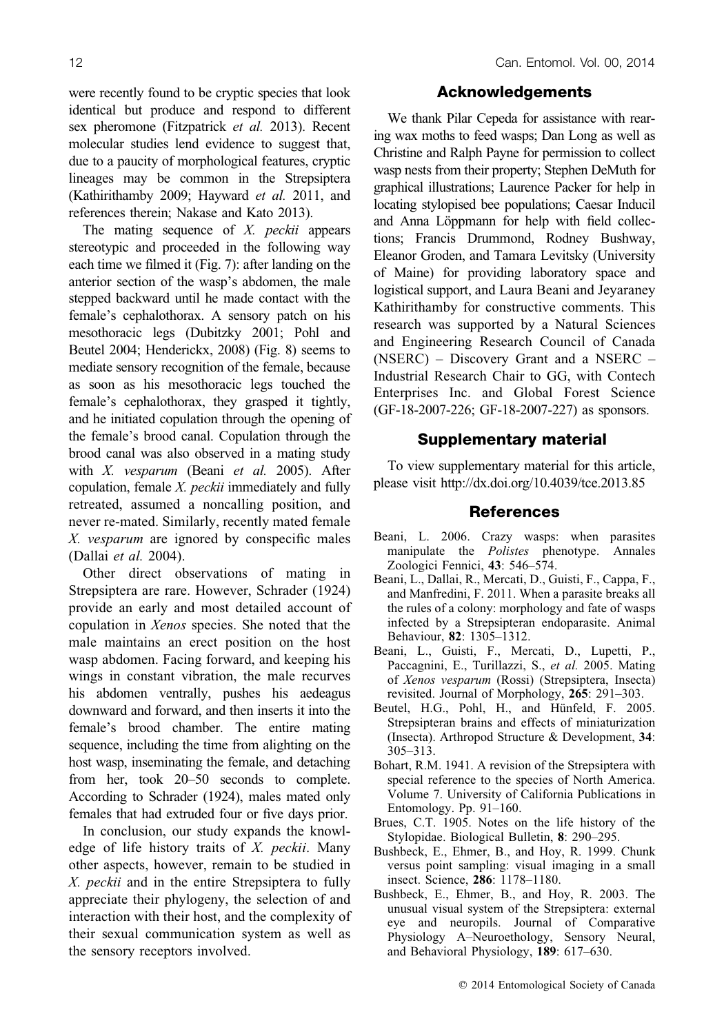<span id="page-11-0"></span>were recently found to be cryptic species that look identical but produce and respond to different sex pheromone (Fitzpatrick *et al.* [2013](#page-12-0)). Recent molecular studies lend evidence to suggest that, due to a paucity of morphological features, cryptic lineages may be common in the Strepsiptera (Kathirithamby [2009;](#page-12-0) Hayward *et al.* [2011](#page-12-0), and references therein; Nakase and Kato [2013\)](#page-12-0).

The mating sequence of *X. peckii* appears stereotypic and proceeded in the following way each time we filmed it [\(Fig. 7](#page-9-0)): after landing on the anterior section of the wasp's abdomen, the male stepped backward until he made contact with the female's cephalothorax. A sensory patch on his mesothoracic legs (Dubitzky [2001;](#page-12-0) Pohl and Beutel [2004](#page-12-0); Henderickx, [2008\)](#page-12-0) [\(Fig. 8](#page-10-0)) seems to mediate sensory recognition of the female, because as soon as his mesothoracic legs touched the female's cephalothorax, they grasped it tightly, and he initiated copulation through the opening of the female's brood canal. Copulation through the brood canal was also observed in a mating study with *X. vesparum* (Beani *et al.* 2005). After copulation, female *X. peckii* immediately and fully retreated, assumed a noncalling position, and never re-mated. Similarly, recently mated female *X. vesparum* are ignored by conspecific males (Dallai *et al.* [2004](#page-12-0)).

Other direct observations of mating in Strepsiptera are rare. However, Schrader ([1924\)](#page-13-0) provide an early and most detailed account of copulation in *Xenos* species. She noted that the male maintains an erect position on the host wasp abdomen. Facing forward, and keeping his wings in constant vibration, the male recurves his abdomen ventrally, pushes his aedeagus downward and forward, and then inserts it into the female's brood chamber. The entire mating sequence, including the time from alighting on the host wasp, inseminating the female, and detaching from her, took 20–50 seconds to complete. According to Schrader ([1924\)](#page-13-0), males mated only females that had extruded four or five days prior.

In conclusion, our study expands the knowledge of life history traits of *X. peckii*. Many other aspects, however, remain to be studied in *X. peckii* and in the entire Strepsiptera to fully appreciate their phylogeny, the selection of and interaction with their host, and the complexity of their sexual communication system as well as the sensory receptors involved.

# Acknowledgements

We thank Pilar Cepeda for assistance with rearing wax moths to feed wasps; Dan Long as well as Christine and Ralph Payne for permission to collect wasp nests from their property; Stephen DeMuth for graphical illustrations; Laurence Packer for help in locating stylopised bee populations; Caesar Inducil and Anna Löppmann for help with field collections; Francis Drummond, Rodney Bushway, Eleanor Groden, and Tamara Levitsky (University of Maine) for providing laboratory space and logistical support, and Laura Beani and Jeyaraney Kathirithamby for constructive comments. This research was supported by a Natural Sciences and Engineering Research Council of Canada (NSERC) – Discovery Grant and a NSERC – Industrial Research Chair to GG, with Contech Enterprises Inc. and Global Forest Science (GF-18-2007-226; GF-18-2007-227) as sponsors.

# Supplementary material

To view supplementary material for this article, please visit http://dx.doi.org/10.4039/tce.2013.85

## References

- Beani, L. 2006. Crazy wasps: when parasites manipulate the *Polistes* phenotype. Annales Zoologici Fennici, **43**: 546–574.
- Beani, L., Dallai, R., Mercati, D., Guisti, F., Cappa, F., and Manfredini, F. 2011. When a parasite breaks all the rules of a colony: morphology and fate of wasps infected by a Strepsipteran endoparasite. Animal Behaviour, **82**: 1305–1312.
- Beani, L., Guisti, F., Mercati, D., Lupetti, P., Paccagnini, E., Turillazzi, S., *et al.* 2005. Mating of *Xenos vesparum* (Rossi) (Strepsiptera, Insecta) revisited. Journal of Morphology, **265**: 291–303.
- Beutel, H.G., Pohl, H., and Hünfeld, F. 2005. Strepsipteran brains and effects of miniaturization (Insecta). Arthropod Structure & Development, **34**: 305–313.
- Bohart, R.M. 1941. A revision of the Strepsiptera with special reference to the species of North America. Volume 7. University of California Publications in Entomology. Pp. 91–160.
- Brues, C.T. 1905. Notes on the life history of the Stylopidae. Biological Bulletin, **8**: 290–295.
- Bushbeck, E., Ehmer, B., and Hoy, R. 1999. Chunk versus point sampling: visual imaging in a small insect. Science, **286**: 1178–1180.
- Bushbeck, E., Ehmer, B., and Hoy, R. 2003. The unusual visual system of the Strepsiptera: external eye and neuropils. Journal of Comparative Physiology A–Neuroethology, Sensory Neural, and Behavioral Physiology, **189**: 617–630.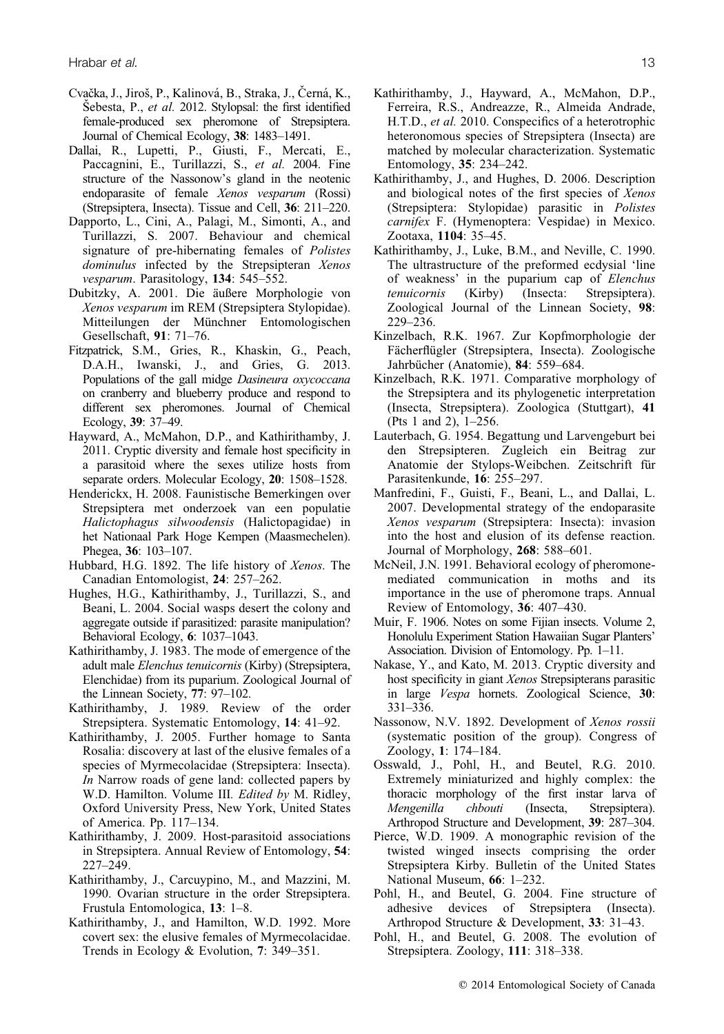- <span id="page-12-0"></span>Cvačka, J., Jiroš, P., Kalinová, B., Straka, J., Černá, K., Sebesta, P., *et al.* 2012. Stylopsal: the first identified female-produced sex pheromone of Strepsiptera. Journal of Chemical Ecology, **38**: 1483–1491.
- Dallai, R., Lupetti, P., Giusti, F., Mercati, E., Paccagnini, E., Turillazzi, S., *et al.* 2004. Fine structure of the Nassonow's gland in the neotenic endoparasite of female *Xenos vesparum* (Rossi) (Strepsiptera, Insecta). Tissue and Cell, **36**: 211–220.
- Dapporto, L., Cini, A., Palagi, M., Simonti, A., and Turillazzi, S. 2007. Behaviour and chemical signature of pre-hibernating females of *Polistes dominulus* infected by the Strepsipteran *Xenos vesparum*. Parasitology, **134**: 545–552.
- Dubitzky, A. 2001. Die äußere Morphologie von *Xenos vesparum* im REM (Strepsiptera Stylopidae). Mitteilungen der Münchner Entomologischen Gesellschaft, **91**: 71–76.
- Fitzpatrick, S.M., Gries, R., Khaskin, G., Peach, D.A.H., Iwanski, J., and Gries, G. 2013. Populations of the gall midge *Dasineura oxycoccana* on cranberry and blueberry produce and respond to different sex pheromones. Journal of Chemical Ecology, **39**: 37–49.
- Hayward, A., McMahon, D.P., and Kathirithamby, J. 2011. Cryptic diversity and female host specificity in a parasitoid where the sexes utilize hosts from separate orders. Molecular Ecology, **20**: 1508–1528.
- Henderickx, H. 2008. Faunistische Bemerkingen over Strepsiptera met onderzoek van een populatie *Halictophagus silwoodensis* (Halictopagidae) in het Nationaal Park Hoge Kempen (Maasmechelen). Phegea, **36**: 103–107.
- Hubbard, H.G. 1892. The life history of *Xenos*. The Canadian Entomologist, **24**: 257–262.
- Hughes, H.G., Kathirithamby, J., Turillazzi, S., and Beani, L. 2004. Social wasps desert the colony and aggregate outside if parasitized: parasite manipulation? Behavioral Ecology, **6**: 1037–1043.
- Kathirithamby, J. 1983. The mode of emergence of the adult male *Elenchus tenuicornis* (Kirby) (Strepsiptera, Elenchidae) from its puparium. Zoological Journal of the Linnean Society, **77**: 97–102.
- Kathirithamby, J. 1989. Review of the order Strepsiptera. Systematic Entomology, **14**: 41–92.
- Kathirithamby, J. 2005. Further homage to Santa Rosalia: discovery at last of the elusive females of a species of Myrmecolacidae (Strepsiptera: Insecta). *In* Narrow roads of gene land: collected papers by W.D. Hamilton. Volume III*. Edited by* M. Ridley, Oxford University Press, New York, United States of America. Pp. 117–134.
- Kathirithamby, J. 2009. Host-parasitoid associations in Strepsiptera. Annual Review of Entomology, **54**: 227–249.
- Kathirithamby, J., Carcuypino, M., and Mazzini, M. 1990. Ovarian structure in the order Strepsiptera. Frustula Entomologica, **13**: 1–8.
- Kathirithamby, J., and Hamilton, W.D. 1992. More covert sex: the elusive females of Myrmecolacidae. Trends in Ecology & Evolution, **7**: 349–351.
- Kathirithamby, J., Hayward, A., McMahon, D.P., Ferreira, R.S., Andreazze, R., Almeida Andrade, H.T.D., *et al.* 2010. Conspecifics of a heterotrophic heteronomous species of Strepsiptera (Insecta) are matched by molecular characterization. Systematic Entomology, **35**: 234–242.
- Kathirithamby, J., and Hughes, D. 2006. Description and biological notes of the first species of *Xenos* (Strepsiptera: Stylopidae) parasitic in *Polistes carnifex* F. (Hymenoptera: Vespidae) in Mexico. Zootaxa, **1104**: 35–45.
- Kathirithamby, J., Luke, B.M., and Neville, C. 1990. The ultrastructure of the preformed ecdysial 'line of weakness' in the puparium cap of *Elenchus tenuicornis* (Kirby) (Insecta: Strepsiptera). Zoological Journal of the Linnean Society, **98**: 229–236.
- Kinzelbach, R.K. 1967. Zur Kopfmorphologie der Fächerflügler (Strepsiptera, Insecta). Zoologische Jahrbu¨cher (Anatomie), **84**: 559–684.
- Kinzelbach, R.K. 1971. Comparative morphology of the Strepsiptera and its phylogenetic interpretation (Insecta, Strepsiptera). Zoologica (Stuttgart), **41** (Pts 1 and 2), 1–256.
- Lauterbach, G. 1954. Begattung und Larvengeburt bei den Strepsipteren. Zugleich ein Beitrag zur Anatomie der Stylops-Weibchen. Zeitschrift für Parasitenkunde, **16**: 255–297.
- Manfredini, F., Guisti, F., Beani, L., and Dallai, L. 2007. Developmental strategy of the endoparasite *Xenos vesparum* (Strepsiptera: Insecta): invasion into the host and elusion of its defense reaction. Journal of Morphology, **268**: 588–601.
- McNeil, J.N. 1991. Behavioral ecology of pheromonemediated communication in moths and its importance in the use of pheromone traps. Annual Review of Entomology, **36**: 407–430.
- Muir, F. 1906. Notes on some Fijian insects. Volume 2, Honolulu Experiment Station Hawaiian Sugar Planters' Association. Division of Entomology. Pp. 1–11.
- Nakase, Y., and Kato, M. 2013. Cryptic diversity and host specificity in giant *Xenos* Strepsipterans parasitic in large *Vespa* hornets. Zoological Science, **30**: 331–336.
- Nassonow, N.V. 1892. Development of *Xenos rossii* (systematic position of the group). Congress of Zoology, **1**: 174–184.
- Osswald, J., Pohl, H., and Beutel, R.G. 2010. Extremely miniaturized and highly complex: the thoracic morphology of the first instar larva of *Mengenilla chbouti* (Insecta, Strepsiptera). Arthropod Structure and Development, **39**: 287–304.
- Pierce, W.D. 1909. A monographic revision of the twisted winged insects comprising the order Strepsiptera Kirby. Bulletin of the United States National Museum, **66**: 1–232.
- Pohl, H., and Beutel, G. 2004. Fine structure of adhesive devices of Strepsiptera (Insecta). Arthropod Structure & Development, **33**: 31–43.
- Pohl, H., and Beutel, G. 2008. The evolution of Strepsiptera. Zoology, **111**: 318–338.